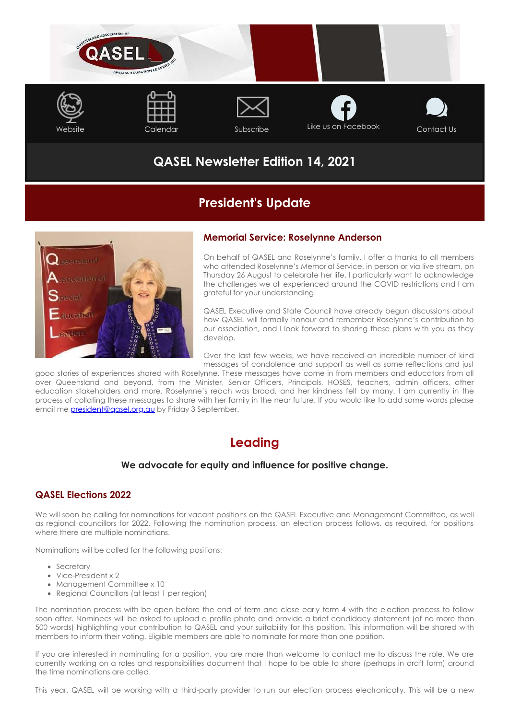

# **QASEL Newsletter Edition 14, 2021**

# **President's Update**



### **Memorial Service: Roselynne Anderson**

On behalf of QASEL and Roselynne's family, I offer a thanks to all members who attended Roselynne's Memorial Service, in person or via live stream, on Thursday 26 August to celebrate her life. I particularly want to acknowledge the challenges we all experienced around the COVID restrictions and I am grateful for your understanding.

QASEL Executive and State Council have already begun discussions about how QASEL will formally honour and remember Roselynne's contribution to our association, and I look forward to sharing these plans with you as they develop.

Over the last few weeks, we have received an incredible number of kind messages of condolence and support as well as some reflections and just

good stories of experiences shared with Roselynne. These messages have come in from members and educators from all over Queensland and beyond, from the Minister, Senior Officers, Principals, HOSES, teachers, admin officers, other education stakeholders and more. Roselynne's reach was broad, and her kindness felt by many. I am currently in the process of collating these messages to share with her family in the near future. If you would like to add some words please email me **president@qasel.org.au** by Friday 3 September.

# **Leading**

### **We advocate for equity and influence for positive change.**

### **QASEL Elections 2022**

We will soon be calling for nominations for vacant positions on the QASEL Executive and Management Committee, as well as regional councillors for 2022. Following the nomination process, an election process follows, as required, for positions where there are multiple nominations.

Nominations will be called for the following positions:

- Secretary
- Vice-President x 2
- Management Committee x 10
- Regional Councillors (at least 1 per region)

The nomination process with be open before the end of term and close early term 4 with the election process to follow soon after. Nominees will be asked to upload a profile photo and provide a brief candidacy statement (of no more than 500 words) highlighting your contribution to QASEL and your suitability for this position. This information will be shared with members to inform their voting. Eligible members are able to nominate for more than one position.

If you are interested in nominating for a position, you are more than welcome to contact me to discuss the role. We are currently working on a roles and responsibilities document that I hope to be able to share (perhaps in draft form) around the time nominations are called.

This year, QASEL will be working with a third-party provider to run our election process electronically. This will be a new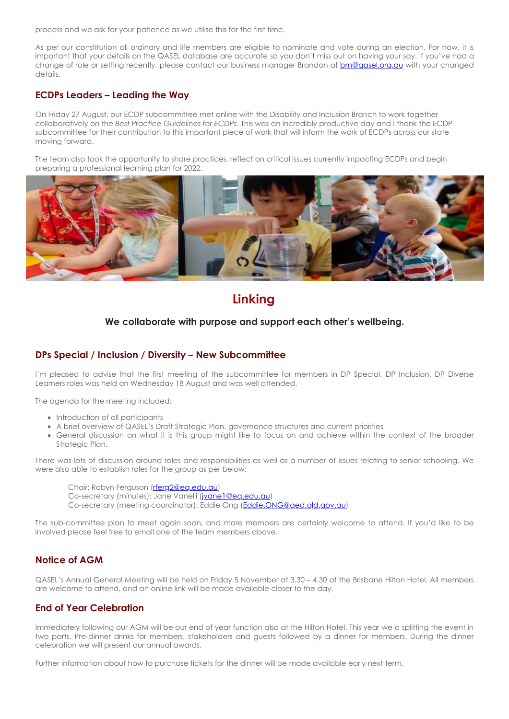process and we ask for your patience as we utilise this for the first time.

As per our constitution all ordinary and life members are eligible to nominate and vote during an election. For now, it is important that your details on the QASEL database are accurate so you don't miss out on having your say. If you've had a change of role or setting recently, please contact our business manager Brandon at [bm@qasel.org.au](mailto:bm@qasel.org.au) with your changed details.

### **ECDPs Leaders – Leading the Way**

On Friday 27 August, our ECDP subcommittee met online with the Disability and Inclusion Branch to work together collaboratively on the *Best Practice Guidelines for ECDPs*. This was an incredibly productive day and I thank the ECDP subcommittee for their contribution to this important piece of work that will inform the work of ECDPs across our state moving forward.

The team also took the opportunity to share practices, reflect on critical issues currently impacting ECDPs and begin preparing a professional learning plan for 2022.



# **Linking**

#### **We collaborate with purpose and support each other's wellbeing.**

#### **DPs Special / Inclusion / Diversity – New Subcommittee**

I'm pleased to advise that the first meeting of the subcommittee for members in DP Special, DP Inclusion, DP Diverse Learners roles was held on Wednesday 18 August and was well attended.

The agenda for the meeting included:

- Introduction of all participants
- A brief overview of QASEL's Draft Strategic Plan, governance structures and current priorities
- General discussion on what it is this group might like to focus on and achieve within the context of the broader Strategic Plan.

There was lots of discussion around roles and responsibilities as well as a number of issues relating to senior schooling. We were also able to establish roles for the group as per below:

Chair: Robyn Ferguson ([rferg2@eq.edu.au\)](mailto:rferg2@eq.edu.au) Co-secretary (minutes): Jane Vanelli [\(jvane1@eq.edu.au\)](mailto:jvane1@eq.edu.au) Co-secretary (meeting coordinator): Eddie Ong ([Eddie.ONG@qed.qld.gov.au\)](mailto:Eddie.ONG@qed.qld.gov.au)

The sub-committee plan to meet again soon, and more members are certainly welcome to attend. If you'd like to be involved please feel free to email one of the team members above.

### **Notice of AGM**

QASEL's Annual General Meeting will be held on Friday 5 November at 3.30 – 4.30 at the Brisbane Hilton Hotel. All members are welcome to attend, and an online link will be made available closer to the day.

#### **End of Year Celebration**

Immediately following our AGM will be our end of year function also at the Hilton Hotel. This year we a splitting the event in two parts. Pre-dinner drinks for members, stakeholders and guests followed by a dinner for members. During the dinner celebration we will present our annual awards.

Further information about how to purchase tickets for the dinner will be made available early next term.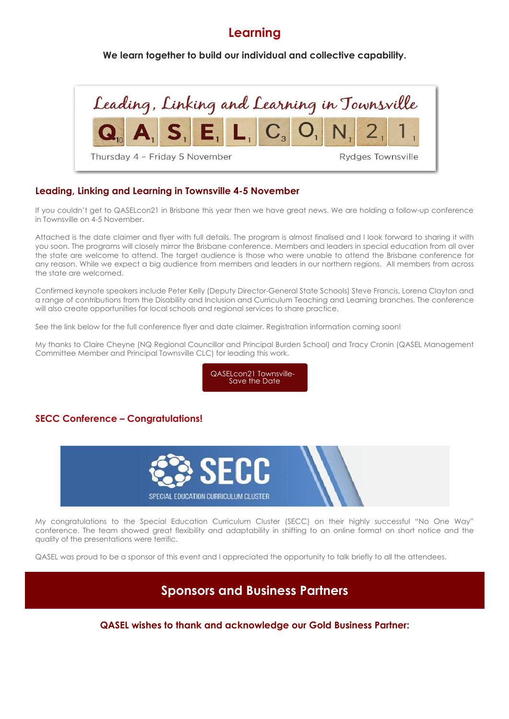# **Learning**

**We learn together to build our individual and collective capability.**



## **Leading, Linking and Learning in Townsville 4-5 November**

If you couldn't get to QASELcon21 in Brisbane this year then we have great news. We are holding a follow-up conference in Townsville on 4-5 November.

Attached is the date claimer and flyer with full details. The program is almost finalised and I look forward to sharing it with you soon. The programs will closely mirror the Brisbane conference. Members and leaders in special education from all over the state are welcome to attend. The target audience is those who were unable to attend the Brisbane conference for any reason. While we expect a big audience from members and leaders in our northern regions. All members from across the state are welcomed.

Confirmed keynote speakers include Peter Kelly (Deputy Director-General State Schools) Steve Francis, Lorena Clayton and a range of contributions from the Disability and Inclusion and Curriculum Teaching and Learning branches. The conference will also create opportunities for local schools and regional services to share practice.

See the link below for the full conference flver and date claimer. Reaistration information coming soon!

My thanks to Claire Cheyne (NQ Regional Councillor and Principal Burden School) and Tracy Cronin (QASEL Management Committee Member and Principal Townsville CLC) for leading this work.

> [QASELcon21 Townsville-](https://cdn-au.mailsnd.com/81048/0u_3F5YSPyQq2ZVPbSazKrUNibkGOxji2Notn9VXNGE/3477172.pdf)  Save the Date

## **SECC Conference – Congratulations!**



My congratulations to the Special Education Curriculum Cluster (SECC) on their highly successful "No One Way" conference. The team showed great flexibility and adaptability in shifting to an online format on short notice and the quality of the presentations were terrific.

QASEL was proud to be a sponsor of this event and I appreciated the opportunity to talk briefly to all the attendees.

# **Sponsors and Business Partners**

**QASEL wishes to thank and acknowledge our Gold Business Partner:**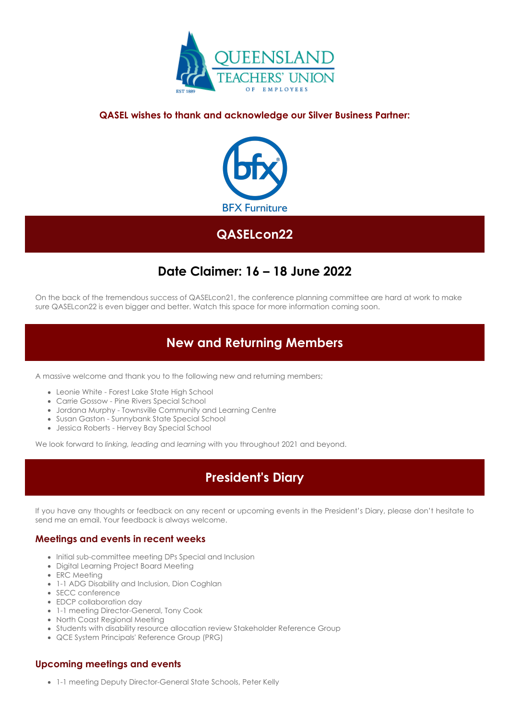

## **QASEL wishes to thank and acknowledge our Silver Business Partner:**



# **QASELcon22**

# **Date Claimer: 16 – 18 June 2022**

On the back of the tremendous success of QASELcon21, the conference planning committee are hard at work to make sure QASELcon22 is even bigger and better. Watch this space for more information coming soon.

# **New and Returning Members**

A massive welcome and thank you to the following new and returning members;

- Leonie White Forest Lake State High School
- Carrie Gossow Pine Rivers Special School
- Jordana Murphy Townsville Community and Learning Centre
- Susan Gaston Sunnybank State Special School
- Jessica Roberts Hervey Bay Special School

We look forward to *linking, leading* and *learning* with you throughout 2021 and beyond.

# **President's Diary**

If you have any thoughts or feedback on any recent or upcoming events in the President's Diary, please don't hesitate to send me an email. Your feedback is always welcome.

#### **Meetings and events in recent weeks**

- Initial sub-committee meeting DPs Special and Inclusion
- Digital Learning Project Board Meeting
- ERC Meeting
- 1-1 ADG Disability and Inclusion, Dion Coghlan
- SECC conference
- EDCP collaboration day
- 1-1 meeting Director-General, Tony Cook
- North Coast Regional Meeting
- Students with disability resource allocation review Stakeholder Reference Group
- QCE System Principals' Reference Group (PRG)

### **Upcoming meetings and events**

1-1 meeting Deputy Director-General State Schools, Peter Kelly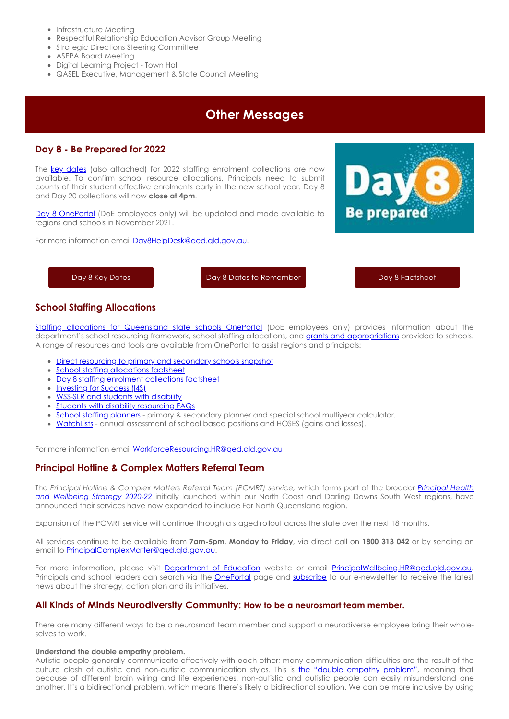- Infrastructure Meeting
- Respectful Relationship Education Advisor Group Meeting
- Strategic Directions Steering Committee
- ASEPA Board Meeting
- Digital Learning Project Town Hall
- QASEL Executive, Management & State Council Meeting

# **Other Messages**

#### **Day 8 - Be Prepared for 2022**

The [key dates](https://intranet.qed.qld.gov.au/Services/HumanResources/payrollhr/careers/Documents/day8-important-dates.pdf) (also attached) for 2022 staffing enrolment collections are now available. To confirm school resource allocations, Principals need to submit counts of their student effective enrolments early in the new school year. Day 8 and Day 20 collections will now **close at 4pm**.

[Day 8 OnePortal](https://intranet.qed.qld.gov.au/Services/HumanResources/payrollhr/careers/workforcemanagement/Pages/day4day8staffingenrolmentcollections.aspx) (DoE employees only) will be updated and made available to regions and schools in November 2021.

For more information email **[Day8HelpDesk@qed.qld.gov.au](mailto:Day8HelpDesk@qed.qld.gov.au)**.



[Day 8 Key Dates](https://cdn-au.mailsnd.com/81048/_4vmXzSaU5D5TvEWqTGJFHUNBkUlVQ7uWs4TyJNTwH4/3477169.pdf) **Day 8 Dates [Day 8 Dates to Remember](https://cdn-au.mailsnd.com/81048/YpsYyACdNlYjCUD4qyVDrumfHldqPwJGl_CrGwz1yAc/3477171.pdf) 1996** Pay 8 Factsheet

### **School Staffing Allocations**

[Staffing allocations for Queensland state schools OnePortal](https://intranet.qed.qld.gov.au/Services/HumanResources/payrollhr/careers/workforcemanagement/Pages/staffingallocationsforQueenslandstateschools.aspx) (DoE employees only) provides information about the department's school resourcing framework, school staffing allocations, and [grants and appropriations](https://education.qld.gov.au/about-us/budgets-funding-grants/grants/state-schools/core-funding) provided to schools. A range of resources and tools are available from OnePortal to assist regions and principals:

- **[Direct resourcing to primary and secondary schools snapshot](https://intranet.qed.qld.gov.au/Students/LearningandDisabilitySupport/Documents/direct-resourcing-primary-secondary-schools-snapshot.pdf#search=direct%20resourcing)**
- [School staffing allocations factsheet](https://intranet.qed.qld.gov.au/Services/HumanResources/Forms/Documents/qss-school-staffing-allocations.pdf)
- [Day 8 staffing enrolment collections factsheet](https://intranet.qed.qld.gov.au/Services/HumanResources/Forms/Documents/qss-day8-staffing-enrolment-collections.pdf)
- [Investing for Success \(I4S\)](https://intranet.qed.qld.gov.au/about/PrioritiesandInitiatives/InvestingForSuccess)
- . [WSS-SLR and students with disability](https://intranet.qed.qld.gov.au/Students/LearningandDisabilitySupport/school-supports-resourcing/Pages/default.aspx)
- [Students with disability resourcing FAQs](https://intranet.qed.qld.gov.au/Students/LearningandDisabilitySupport/Documents/students-disability-resourcing-faq.pdf)
- . [School staffing planners](https://intranet.qed.qld.gov.au/Services/HumanResources/Forms/Documents/Forms/Schoolstaffingplanners.aspx) primary & secondary planner and special school multiyear calculator.
- . [WatchLists](https://intranet.qed.qld.gov.au/Services/HumanResources/Forms/Documents/Forms/Schoolstaffingplanners.aspx) annual assessment of school based positions and HOSES (gains and losses).

For more information email **WorkforceResourcing.HR@ged.gld.gov.au** 

#### **Principal Hotline & Complex Matters Referral Team**

The *Principal Hotline & Complex Matters Referral Team (PCMRT) service,* which forms part of the broader *Principal Health and Wellbeing Strategy 2020-22* [initially launched within our North Coast and Darling Downs South West regions, have](https://education.qld.gov.au/initiatives-and-strategies/health-and-wellbeing/workplaces/health-wellbeing#principal-health) announced their services have now expanded to include Far North Queensland region.

Expansion of the PCMRT service will continue through a staged rollout across the state over the next 18 months.

All services continue to be available from **7am-5pm, Monday to Friday**, via direct call on **1800 313 042** or by sending an email to [PrincipalComplexMatter@qed.qld.gov.au.](mailto:PrincipalComplexMatter@qed.qld.gov.au)

For more information, please visit [Department of Education](https://education.qld.gov.au/initiatives-and-strategies/health-and-wellbeing/workplaces/health-wellbeing) website or email [PrincipalWellbeing.HR@qed.qld.gov.au.](mailto:PrincipalWellbeing.HR@qed.qld.gov.au) Principals and school leaders can search via the [OnePortal](https://intranet.qed.qld.gov.au/about/PrioritiesandInitiatives/Pages/principal-complex-matters-referral-service.aspx) page and [subscribe](https://app.vision6.com.au/em/forms/subscribe.php?db=654212&s=306136&a=87976&k=bQgzCwK-LIZPn5V_ZJY1H-9dVIBpZH7VsInZOmcBTlA) to our e-newsletter to receive the latest news about the strategy, action plan and its initiatives.

#### **All Kinds of Minds Neurodiversity Community: How to be a neurosmart team member.**

There are many different ways to be a neurosmart team member and support a neurodiverse employee bring their wholeselves to work.

#### **Understand the double empathy problem.**

Autistic people generally communicate effectively with each other; many communication difficulties are the result of the culture clash of autistic and non-autistic communication styles. This is *[the "double empathy problem"](https://on.asha.org/2-DEP)*, meaning that because of different brain wiring and life experiences, non-autistic and autistic people can easily misunderstand one another. It's a bidirectional problem, which means there's likely a bidirectional solution. We can be more inclusive by using